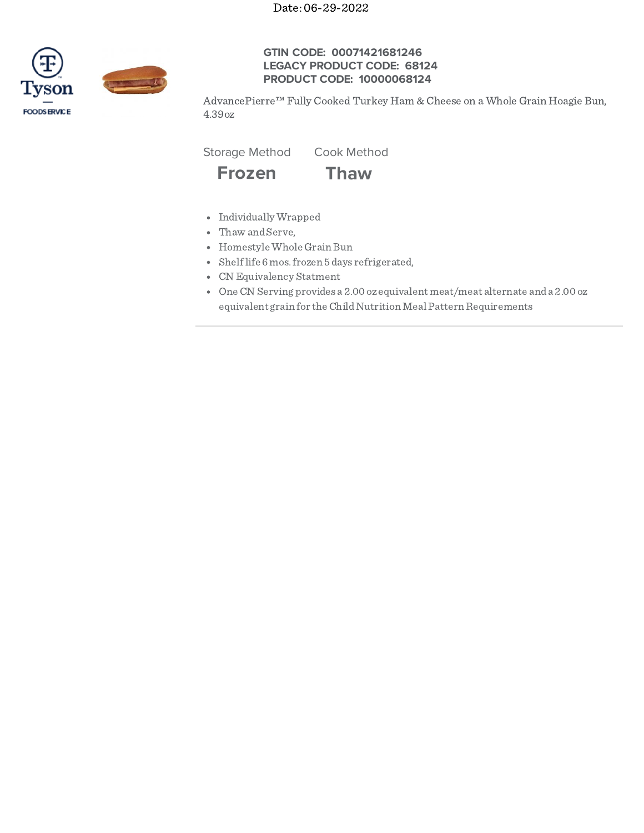Date: 06-29-2022



## **GTIN CODE: 00071421681246 LEGACY PRODUCT CODE: 68124 PRODUCT CODE: 10000068124**

AdvancePierre™ Fully Cooked Turkey Ham & Cheese on a Whole Grain Hoagie Bun, 4.39oz

Storage Method Cook Method



- Individually Wrapped
- Thaw and Serve,
- Homestyle Whole Grain Bun
- Shelflife 6mos.frozen 5days refrigerated,
- CN Equivalency Statment
- OneCN Serving provides a 2.00 ozequivalent meat/meat alternate anda 2.00 oz equivalent grain for the Child Nutrition Meal Pattern Requirements